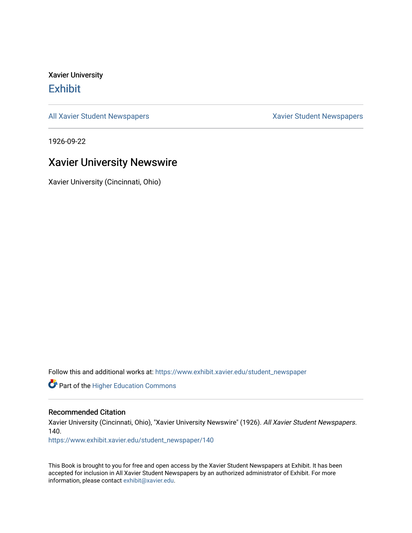Xavier University **Exhibit** 

[All Xavier Student Newspapers](https://www.exhibit.xavier.edu/student_newspaper) **Xavier Student Newspapers** Xavier Student Newspapers

1926-09-22

### Xavier University Newswire

Xavier University (Cincinnati, Ohio)

Follow this and additional works at: [https://www.exhibit.xavier.edu/student\\_newspaper](https://www.exhibit.xavier.edu/student_newspaper?utm_source=www.exhibit.xavier.edu%2Fstudent_newspaper%2F140&utm_medium=PDF&utm_campaign=PDFCoverPages) 

Part of the [Higher Education Commons](http://network.bepress.com/hgg/discipline/1245?utm_source=www.exhibit.xavier.edu%2Fstudent_newspaper%2F140&utm_medium=PDF&utm_campaign=PDFCoverPages) 

#### Recommended Citation

Xavier University (Cincinnati, Ohio), "Xavier University Newswire" (1926). All Xavier Student Newspapers. 140.

[https://www.exhibit.xavier.edu/student\\_newspaper/140](https://www.exhibit.xavier.edu/student_newspaper/140?utm_source=www.exhibit.xavier.edu%2Fstudent_newspaper%2F140&utm_medium=PDF&utm_campaign=PDFCoverPages) 

This Book is brought to you for free and open access by the Xavier Student Newspapers at Exhibit. It has been accepted for inclusion in All Xavier Student Newspapers by an authorized administrator of Exhibit. For more information, please contact [exhibit@xavier.edu](mailto:exhibit@xavier.edu).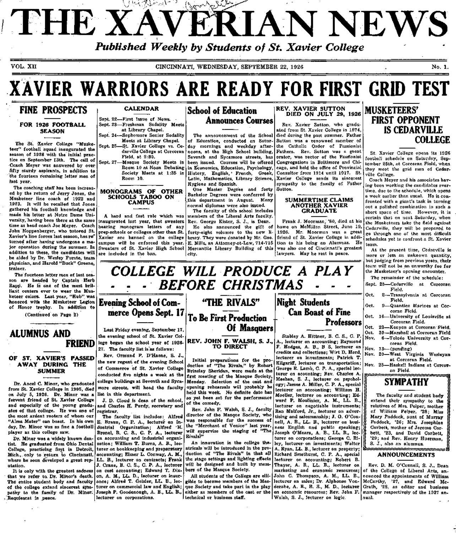## I *u.y^'tAl-rA* **- '!>** *{^\^^y^.hf^* ^.0^'r.,.^^''" THE XAVERIAN NEWS *Published Weekly by Students of St. Xavier College*

VOL. XII CINCINNATI, WEDNESDAY, SEPTEMBER 22, 1926 No. 1. No. 1.

## **XAVIER WARRIORS ARE READY FOR FIRST GRID TEST**

## **FINE PROSPECTS**

#### FOR 1926 FOOTBALL SEASON

The St. Xavier College "Musketeer" football squad inaugurated the season of 1926 with the initial practice on September 13th. The call of Coach Meyer was answered by over fifty sturdy aspirants, in addition to the fourteen remaining letter men of last year.

The coaching staff has been increased by the return of Jerry Jones, the Musketeer line coach of 1922 and 1923. It will be recalled that Jones gathered his football knowledge and made his letter at Notre Dame University, having been there at the same time as head coach Joe Meyer. Coach John Noppenberger, who tutored St. Xavier's line forces last season, has re' turned after having undergone a major operation during the summer. In addition to these, the candidates will be aided by Dr. Wesley Furste, team physician, and Harold "Buck" Greene, trainer.

The fourteen letter men of last season are headed by Captain Herb Rapp. He is one of the most brilliant centers ever to wear the Musketeer colors. Last year, "Hub" was honored with the Musketeer Legion of Honor trophy. In addition to

(Continued on Page 2)

### **ALUMNUS AND FRIEND**

#### **OF ST. XAVIER'S PASSED AWAY DURING THE SUMMER**

Dr. Ancel C. Minor, who graduated from St. Xavier College in 1905, died on July 5, 1926. Dr. Minor was a fervent friend of St. Xavier College and especially of the young graduates of that college. He was one of the most ardent rooters of whom our "Alma Mater" can boast. In his own day. Dr. Minor was as fine a football player as this college saw.

Dr. Minor was a widely known dentist. He graduated from Ohio Dental College, practicing first in Detroit, Mich.,. only to return to Cincinnati, where he soon developed a great reputation.

It is only with the greatest sadness that we refer to Dr. Minor's death. The entire student body and faculty of the college extend sincerest sympathy to the family of Dr. Minor. Requiescat in peace.

#### CALENDAR

Sept. 22---First Issue of News. Sept. 23—Freshman Sodality Meets at Library Chapel.

Sept. 24—Sophomore Senior Sodality Meets at Library Chapel. Sept. 25—St. Xavier College vs. Cedarville College at Corcoran

Field, at 2:30. Sept. 27—Masque Society Meets in Room 10 at Noon Debating Society Meets at 1:35 in Room 10.

#### **MONOGRAMS OF OTHER**  SCHOOLS **TABOO ON CAMPUS**

A hard and fast rule which was bearing monogram letters of any prep-schools or colleges other than St. Xavier are banned on the college campus will be enforced this year. Sweaters of St. Xavier High School are included in the ban.

### **School of Education Announces Courses**

The announcement of the School of Education, conducted on Saturday mornings and weekday afternoons, at the High School building, Seventh and Sycamore streets, has been issued. Courses will be offered in Economics, Education, Psychology, History, English, ' French, Greek, Latin, Mathematics, Library Science, Hygiene and Spanish.

One Master Degree and forty Bachelor Degrees were conferred by this department in August. Many normal diplomas were also issued.

inaugurated last year, that sweaters Rev. George Kister, S. J., is Dean. The faculty of this school includes members of the Liberal Arts faculty. He also announced the gift of forty-eight volumes to the new library. They were donated by Mr. Geo. E. Mills, an Attorney-at-Law, 714-715 Mercantile Library Building of this city.

*COLLEGE WILL PRODUCE A PLAY* 

**BEFORE CHRISTMAS** 

**TO DIRECT** 

Initial preparations for the production of "The Rivals," by Robert Brinsley Sheridan, were made at the first meeting of the Masque Society,

held this week. No definite date has

Rev. John F. Walsh, S. J., faculty director of the Masque Society, who was responsible for the success of the "Merchant of Venice" last year, will supervise the staging of "The

An innovation in the college theatricals will be introduced in the production of "The Rivals" in that all the stage settings and lighting effects will be designed and built by mem-

All students of the College are elligible to become members of the Masque Society and take part in the play either as members of the cast or the

bers of the Masque Society.

technical or business staff.

of the comedy.

Rivals<sup>y</sup>

REV. XAVIER SUTTON DIED ON JULY 29, 1926

Rev. Xavier Sutton, who graduated from St. Xavier College in 1874, died during the past summer. Father Sutton was a renowned member of the Catholic Order of Passionist Fathers. Rev. Sutton was a great orator, was rector of the Passionist Congregations in Baltimore and Chicago, and held the office of Provincial Consultor from 1914 until 1917. St. Xavier College sends its sincerest sympathy to the family of Father Sutton.

#### SUMMERTIME CLAIMS ANOTHER XAVIER GRADUATE

Frank J. Moorman, '80, died at his home on McMillan Street, June 19, Mr. Moorman was a great friend of St. Xavier College in addition to his being an Alumnus. He was also one of Cincinnati's greatest lawyers. May he rest in peace.

**Can Boast of Fine** 

Stabley A. Hittner, B. C. S., C. P. A., lecturer on accounting; Raymond F. Hodges, A. B., B S, lecturer on credits and collections; Wirt D. Hord, lecturer on investments; Patrick T. Kilgariff, lecturer on transportation; George R. Lamb, C. P. A., special lecturer on acounting; Rev. Charles A. Meehan, S. J., lecturer on psychology; James A. Miller, C. P. A., special lecturer on accounting; William H. Moeller, lecturer on accounting; Edward P. Moulinier, A. M., LL. B., lecturer on negotiable instruments; Ren Mulford, Jr., lecturer on advertising and salesmanship; J. O. O'Connell, A. B., LL. B., lecturer on business English and public speaking; Joseph O'Meara, A. B., LL. B., lecturer on corporations; George C. Riley, lecturer- on investments; Walter A. Ryan, LL. B., lecturer on property; Richard Smethurst, C. P. A., special lecturer on accounting; Rohert B. Thayer, A. B., LL. B., lecturer on marketing and economic resources; John C. Thompson, A. M., LL. B., lecturer on sales; Dr. Alphonse Vonderahe, A. B., B. S., M. D., lecturer on economic resources; Rev. John F. Walsh, S. J., lecturer on logic.

**Professors** 

**Night Students** 

### **MUSKETEERS' FIRST OPPONENT IS CEDARVILLE COLLEGE**

St. Xavier College opens its 1926 football schedule on Saturday, September 25th, at Corcoran Field, when they meet the grid men of Cedarville College.

Coach Meyer and his associates having been working the candidates overtime, due to the schedule, which opens a week earlier than usual. He is confronted with a giant's task in turning out a polished combination in such a short space of time. However, it is certain that on next Saturday, when the Musketeers take the field against Cedarville, they will be prepared to go through one of the most difficult schedules yet to confront a St. Xavier team.

At the present time, Cedarville is more or less an unknown quantity, but judging from previous years, their team will not be an unworthy foe for the Musketeer's opening encounter. The remainder of the schedule:

- Sept. 25—Cedarville at Corcoran Field. 2—Transylvania at Corcoran Field. Oct. Oct.
- 9—Quantico Marines at Corcoran Field. 16—University of Louisville at Oct. 16-
- Corcoran Field. 23—Kenyon at Corcoran Field. Oct.
- 30—Marshall at Corcoran Field 6—Toledo University at Cor-Oct. Nov.
- coran Field. 13—(pending) Nov.
- 20—West Virginia Wesleyan Nov. at Corcoran Field.
- 25—Haskell Indians at Corcor-Nov. an Field.

## **SYMPATHY**

The faculty and student body extend, their sympathy to the relatives of Mrs. Peiper, mother of William Peiper, '28; Miss Mary Paddock, aunt of Murray Paddock, '26; Mrs. Josephine Corbett, mother of Jerome Corbett, '23, and David Corbett, '29; and Rev. Henry Huerman, S. J., also an alumnus.

#### ANNOUNCEMENTS

Rev. D. M. O'Connell, S. J., Dean of the College of Liberal Arts, announced the appointments of William McCarthy, '27, and Edward Mc-Grath, '28, as editor and business manager respectively of the 1927 annual.

Last Friday evening, September 17, the evening school of St. Xavier College began the school year of 1926- 27. The faculty list is as follows:

**Evening School of Com-**

Rev. Ormund P. D'Haene, S. J., the new regent of the evening School of Commerce of St. Xavier College conducted five nights a week at the college buildings at Seventh and Sycamore streets, will head the faculty list in this department.

and Charles H. Purdy, secretary and registrar.

E. Braun, C. P. A., lecturer on Industrial Organization; Alfred 'H. Brenel, B. C. S., C. P. A., lecturer on accounting and industrial organization; William T. Bums, A. B., lecturer on bookkeeping and preparatory accounting; Elmer L. Conway, A. M., LL. B., lecturer on contracts; Frank J. Crane, B. C. S., C. P. A., lecturer on cost accounting; Edward T. Dixon, A. M., LL. D., lecturer on insurance; Alfred T. Geisler, LL. B., lecturer on commercial law and English; Joseph P. Goodenough, A. B., LL. B.,

lecturer on corporations.

## **"THE RIVALS" To Be First Production Of Masquers**

**REV. JOHN F. WALSH, S. J.,** 

**merce Opens Sept. 17** 

Monday. Selection of the cast and opening rehearsals will probably be as yet been set for the performance

J. D. Cloud is dean of the school,

The faculty list includes: Alfred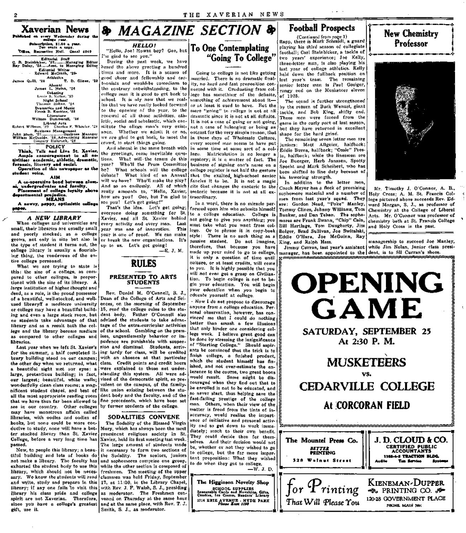## **Football Prospects**

(Continued from page 1)<br>Rapp, there is Mark Schmidt, a guard playing his third season of collegiate football; Carl Steinbicker, a tackle of two years' experience; Joe Kelly, three-letter man, is also playing his last year of college athletics. Kelly held down the fullback position on last year's team. The remaining senior letter man is Paul Gosiger, rangy end on the Musketeer eleven  $of$  1925.

The squad is further strengthened by the return of Buck Wenzel, giant tackle, and Bob King, shifty end. These men were forced from the game in the early part of last season. but they have returned in excellent shape for the hard grind.

The remaining seven letter men are iuniors: Matt Allgeier, halfback; Eddie Burns, halfback; "Ossie" Presto, halfback; while the linesmen are Joe Buerger, Herb Janszen, Spotty Snecht und Mark Scheibert, who has been shifted to line duty because of his towering strength.

In addition to the letter men, Coach Meyer has a flock of promising sophomore material and a number of men from last year's squad. They are: Gordon Nead, "Poke" Manley, Tommy Clines, Johnny Williams, Tom Bunker, and Dan Tehan. The sopho-Bill Hartlage, Tom Daugherty, Jim and Holy Cross in the past. Bolger, Brad Sullivan, Joe Switzlekt, Eddie O'Hara, Joe McGuinn, Ray King, and Ralph Hess.

That Will Please You

Mr. Timothy J. O'Connor, A. B., Holy Cross; A. M. St. Francis College pictured above succeeds Rev. Edward Morgan, S. J., as professor of Chemistry at the College of Liberal Arts. Mr. O'Connor was professor of mores are Frank Swann, "Chip" Cain, chemistry both at St. Francis College

PHONE MAIN 7601





**& MAGAZINE SECTION & HELLO!** 

"Hello, Joe! Howza boy? Gee, but<br>I'm glad to see you."

During the past week, we have heard the above greeting a hundred times and more. It is a season of good cheer and followship and carteonists and would-be comedians to the contrary notwithstanding, to the college man it is good to get back to school. It is aly now that we realize that we have really looked forward to the opening of the year, to the renewal of all those activities, athletic, social and scholastic, which constitute the ollege man's very existance. Whether we admit it or no, we are glad to get back, to moet the crowd, to start things going. And almost in the same breath with

the greetings, come inevitable ques-Ample encouragement to all act the greetings, come inevitable ques-<br>titles: academic, athletic, dramatic, tions. What will the teams do this<br>foremic, literary and social,<br>Operation of this newspaper as the he? What schools Who'll the Prom Committee be? What schools will the college debate? What kind of an Annual? will we have? Who'll make the play? And so on endlessly. All of which really amounts to, "Hello, Xavier, how are you? Gee, but I'm glad to see you! Let's get going!"

That's the idea. Let's get going; everyone doing something for St. Xavier, and all St. Xavier behind every activity and every man. Last small, their libraries are usually small year was one of innovation. This year is one of proof. We can make grows, not only in size but also in or break the new organizations. It's up to us. Let's get going!

 $-E. J. M.$ 

#### PRESENTED TO ARTS **STUDENTS**

RULES

Rev. Daniel M. O'Connell, S. J., Dean of the College of Arts and Seiences, on the morning of September 15, read the college rules to the student body. Father O'Connell also no students take advantage of that advised the students to take advantage of the extra-curricular activities lege and the library become medium of the school. Gambling on the premises, ungentlemenly behavior or impudence are punishable with suspension and dismissal. Students, arrivfor the summer, a half completed ii. ing tardy for class, will be credited with an absence at that perticular class. Credit points and credit hours were explained to those not understanding this system. All were advised of the democratic spirit, so prevalent on the campus, of the familylike union existing between the student body and the faculty, and of the fine precedents, which have been set by former students of the college.

#### SODALITIES CONVENE

The Sodality of the Blessed Virgin Mary, which has always been the most prominent religious society in St. Xavier, held its first meeting last week. The large amount of students made it necessary to form two sections of the Sodality. The seniors, juniors and sophomores comprise one group, while the other section is composed of freshmen. The meeting of the upper sary. We know the students will read classmen was held Friday, September 17, at 11:30, in the Library Chapel, with Rev. J. F. Walsh, S. J., presiding as moderator. The Freshmen convened on Thursday at the same hour and at the same place, with Rev. T. J. Smith, S. J., as moderator.

## **To One Contemplating** "Going To College"

Going to college is not like getting married. There is no drumatic finality, no hard and fast proposition connected with it. Graduating from college has something of the definite. something of achievement about itor at least it used to have. But the piere "going" to college is not at all dramatic since it is not at all definite. It is not a case of going or not going. not a case of belonging or being an outcast for the very simple reason, that in these days of Wholesale Culture. every second man seems to have put in some time at some sort of a college. Matriculation is no longer a mystery; it is a matter of fact. The business of signing one's name on a college register is not half the gesture that the exalted high-school senior fancles it to be. It is not a magic cite that changes the exoteric to the esoteric because it is not at all extraordinary.

In a word, there is no miracle performed upon him who submits himself to a college education. College is not going to give you anything; you must take what you want from college. Or to phrase it in copy-book; style: There is no such thing as a passive student. Do not imagine, therefore, that because you have made up your mind to go to college, it is only a question of time until culture, or at least credits, will come to you. It is highly possible that you will not even get a grasp on Civilization. To begin college is not to begin your education. You will begin educate yourself at college.

· Now I do not propose to discourage anyone from a college education. Personal observation, however, has convinced me that I could do nothing better than smash a few illusions that only hinder one considering college work. I believe great good can! be done by stressing the insignificance of "Starting College." Should aspirants be convinced that the trick is to finish college, a finished product,<br>which the student himself has finished, and not over-estimate the enterance to the course, two great boons would result. Some might be discouraged when they find out that to be enrolled is not to be educated, and so never start, thus helping save the fast-failing prestige of the college man. Others, when their view of the matter is freed from the tints of inaccuracy, would realize the importance of initiative and personal activity and so get down to work immediately; much to their own benefit. They could decide then for themselves. And their decision would not be, whether or not they wished to go to college, but the far more important proposition: What they wished to do when they got to college.  $-W. J. D.$ 

The Higginson Novelty Shop

SCHOOL SUPPLIES<br>Sessenable Cards and Novelties, Gifts,<br>Candiss, Ice Cream, Resders' Library

2714 ERIE AVENUE - HYDE PARK<br>Phone East 1190

Subsectption, \$1.50 a year.<br>Ten sents a copy. Times, Recreation Hall. Canal 4040

Xaverian News

Published on every Wednesday during the

James Quill, 28 Athletics T. D. Glines, 28 Numns<br>James L. Nolan, '26 - 4. 1996), ex<br>Debating<br># 8. Keller, 30 Lenie

Night School<br>Thomas Hohne, '24 Dramatics and Music<br>Frank B. Koester, '28 Literature<br>William Dammarell, '38

Liboral Arts<br>Robert Willmes, '29 - Charles F. Wheeler, '29 Appert whiles, 22 bishes with the centre of the state of the state of the state of the state of the state of the state of the state of the state of the state of the state of the state of the state of the state of the state

**POLICY** Think, Talk and Live St. Xavier.

student voice. **AIM** A co-operative bond between glum-

si, undergraduates and faculty.<br>Fiscement of college loyalty above departmental projection

A nawsy, peppy, optimistic college paper.

A NEW LIBRARY

and poorly stocked; as a college

the type of student it turns out, the

college library is usually a flourish-

ing thing, the rendevous of the en-

this: the size of a college, as com-

pared to other colleges, is propor-

tional with the size of its library. A

large institution of higher thought and

deed, as a rule, is the proud possessor

of a beautiful, well-stocked, and well-

used libraryff a mediocre university

or college may have a beautiful build-

ing and even a large stack room, but

library and as a result both the col-

as compared to other colleges and

brary building stood on our campus;

the other day when we returned, what

a beautiful sight met our eyes: a

large, pretentious building; in fact,

our largest; beautiful, white walls;

wonderfully clean class rooms; a mag-

nificent student chapel, and best of

all the most appropriate reading room

that we have thus far been allowed to

see in our country. Other colleges

may have monstrous affairs called

libraries, with oodles and oodles of

books, but none could be more con-

ducive to study, none will have a bet-

ter stocked library than St. Xavier

College, before a very long time has

Now, to people this library; a beau-

tiful building and lots of books do

not make a library. The faculty has

exhorted the student body to use this

library, which should not be neces-

and write, study and prepare in this

library; if any one fails to visit this

library his class pride and college

spirit are not Xaverian. Therefore,

since you have a college's greatest

Last year when we left St. Xavier's

What we are trying to state is

tire college personnel.

libraries.

passed.

gift, use it.

When colleges and universities are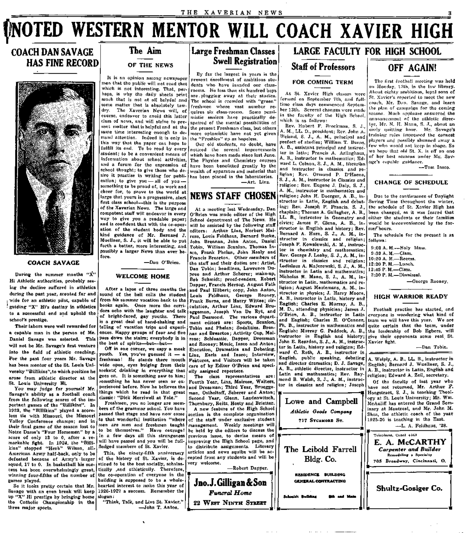## **NOTED WESTERN MENTOR WILL COACH XAVIER HIGH**

## **COACH DAN SAVAGE HAS FINE RECORD**



#### **COACH SAVAGE**

During the summer months " $\dot{X}$ " Hi Athletic authorities, probably seeing the decline suffered in athletics during the past year, scouted far and wide for an athletic pilot, capable of f guiding "X" Hi's destiny in athletics to a successful end and uphold the school's prestige.

Their labors were well rewarded for a capable man in the person of Mr. Daniel Savage was selected. This will not be Mr. Savage's first venture into the field of athletic coaching. For the past four years Mr. Savage has been mentor of the St. Louis University "Billikins",to which position he arose from athletic director at the St. Louis University Hi.

You may judge for yourself Mr. Savage's ability as a football coach from the following scores of the important games of the "Billikins". In 1923, the "Billikins" played a scoreless tie with Missouri, the Missouri Valley Conference champs; and in their final game of the season lost to Notre Dame's "Four Horsemen" by a score of only 13 to 0, after a remarkable fight. In 1924, the "Billikins" stopped "Herb" Wilson, all-American Army half-back, only to be defeated because of Army's larger squad, 17 to 0. In basketball his success has been overwhelmingly great, winning four-fifths of the number of games played.

So it looks pretty certain that Mr. up "X" Hi prestige by bringing home slogan: the Catholic Championship in the three major sports.

## **The Aim**

#### OF THE NEWS

It is an opinion among newspaper men that the public will not read that which is not interesting. That, perhaps, is why the daily sheets print much that is not at all helpful and some matter that is absolutely taw-<br>dry. The Xaverian News will of The Xaverian News will, of course, endeavor to avoid this latter class of news, and will strive to present matter that is helpful and at the same time interesting enough to demand attention. Indeed it is only in this way that the paper can hope to fulfill its end. To be read by every student; to be a convenient means of information about school activities, and a forum for the expression of school thought; to give those who desire it practise in writing for publication; to give you  $-$  all of you  $$ something to be proud of, to work and cheer for, to prove to the world at large that yours is a progressive, alert  $\vert$ first class school—this is the purpose of the Xaverian News. The large and competent staff will endeavor in every way to give you a readable paper; and is confident that with the co-operation of the student body and the

kind guidance of Mr. Bernard J. Muellner, S. J., it will be able to put forth a better, more interesting, and possibly a larger News than ever before.

—Dan O'Brien.

#### **WELCOME HOME**

After a lapse of three months the sound of the bell calls the student from his summer vacation back to the books again. Once more the corridors echo with the laughter and talk of bright-faced, gay youths. There is a great deal of hand-shaking and telling of vacation trips and experiences. Happy groups of four and five pass down the stairs; everybody is in the best of spirits—but—but—

Off in one corner, we espy a meek youth. Yes, you've guessed it — a freshman! He stands there mouth wide open, eyes bulging from their sockets, drinking in everything that ally assigned reporters. goes on. It is something new to him; .^something he has never seen or experienced before. Now he believes the things which he read in that great classic: "Dick Merriwell at Yale."

Freshmen, you no longer are members of the grammar school. You have passed that stage and have now come to that wonderful institution "where $\vert$ men are men and freshmen taught to be themselves." Have courage! In a few days all this strangeness will have passed and you will be fullfledged members of St. Xavier.

Savage with an even break will keep 1926-1927 a success. Remember the This, the ninety-fifth anniversary of the history of St. Xavier, is destined to be the best socially, scholastically ,and athletically. Therefore, the co-operation of everyone in the building is supposed to be a wholehearted interest to make this year of

> "Think, Talk, and Live St. Xavier." —John T. Anton.

## **Large Freshman Classes Swell Registration**

By far the largest in years is the jiresent enrollment of ambitious students who havo invaded our classrooms. No less than six hundred boys are, plugging away at their studios. The school is crowded with "green" freshmen whose vast number requires six class-rooms. Somo pessimistic seniors have practically despaired of the mental possibilities of the present Freshman class, but others more optomistic have not yet given the "Freshios" up as hopeless.

Our old students, no doubt, have noticed tho several improvements which have been made since last June. The Physics and Chemistry courses have been benefitted greatly by the wealth of apparatus and material that has been placed in the laboratories.

—Art. Linz.

## **NEWS STAFF CHOSEN**

At a meeting last Wednesday, Dan O'Brien was made editor of the High School department of The News. He will be assisted by the following staff editors: Arthur Linz, Norbert Mairose, Louis Feldhaus, Bernard Burke, John Brennan, John Anton, Daniel Tobin, William Scanlon, Thomas Insco, Frank Phelan, John Healy and Francis Brearton. Other members of the staff and their duties are : Artist, Dan Tobin; headlines, Lawrence Dupree and Arthur Scherer; make-up, Bob Schmidt; proof-readers, Robert Dapper, Francis Herzog, August Fath and Paul Hilbert; copy, John Anton, Louis Feldhaus, George Rooney, Frank Burns, and Harry Wittee; circulation, Arthur Linz, Edward Brueggeman, Joseph Van De Ryt, and Paul Desmond. The various department editors are: Sports, Scanlon, Tobin and Phelan; Sodalities, Brennan and Brearton; Activity Cup, Mairose; Schloastic, Dapper, Dressman and Rooney; Music, Insco and Anton; Elocution, Dramatics and Debating, Linz, Earls and Insco; Interview, Features, and Visitors will be taken care of by Editor O'Brien and speci-

The class representatives are: Fourth Year, Linz, Mairose, Walters, and Dressman; Third Year, Brueggeman, Ostholtoff, Scherer and Anton; Second Year, Glenn, Landenwitsch, Thornbury, Reitz, Hosty and Brietter.

A new feature of the High School section is the complete organization of the staff under exclusive student management. Weekly meetings will be held by the editors to discuss the previous issue, to devise means of improving the High School page, and to distribute assignments. Literary articles and news squibs will be accepted from any students and will be very welcome.



۴.

**JiEljK-**

*Funeral Home*  22 WEST NINTH STREET

**Jno.J. Gilligan & Son** 

### **LARGE FACULTY FOR HIGH SCHOOL**

## FOR COMING TERM

**Staff of Professors** 

At St. Xavier High classes were formed on September 7th, and fulltime class days commenced September 13th. Several changes were made in the faculty of the High School, which is as follows:

Rev. Hubert F. Brockman, S. J., A. M., LL. D., president; Rev. John A. Weiand, S. J., A. M., principal and prefect of studies; William T. Burns, A. B., assistant principal and instructor in latin; Francis A. Arlinghaus, A. B., instructor in mathematics; Edward L. Colnon, S. J., A. M., librarihn and instructor in classics and religion; Rev. Ormund P. D'Haene, S. J., A. M., instructor in Classics and religion; Rev. Eugene J. Daly, S. J., A. M., instructor in mathematics and religion; John H. Doerger, A .B., instructor in Latin, English and debating; Rev. Joseph P. Francis, S. J., chaplain; Thomas A. Gallagher, A. B., LL. B., instructor in Geometry and civics; James P. Glenn, A. B., instructor in English and history; Rev. | mei<sup>c</sup>hours. Bernard A. Horn, S. J., A. M., instructor in classics and religion; Joseph F. Kowalewski, A. M., instructor in chemistry and mathematics; Rev. George J. Leahy, S. J., A. M., instructor in classics and religion; Ladislaus A. Majerowski, S. J., A. M., instructor in Latin and mathematics; Nicholas H. Mann, S. J., A. M., instructor in Latin, mathematics and religion; August Meulemans, A. M., instructor in physics; J. Harry Moore, A. B., instructor in Latin, history and English; Charles E. Murray, A. B., M. D., attending physician; James J. O'Brien, A. B., instructor in Latin Ph. B., instructor in mathematics and instructor in English and history; John E. Reardon, S. J., A. M., instructor in Latin, history and religion; Edward C. Roth, A. B., instructor in English, public speaking, debating and director dramatics; D. J. Savage, A. B., athletic director, instructor in Latin and mathematics; Rev. Raymond B. Walsh, S. J., A. M., instructor in classics and religion; Joseph

Lowe and Campbell *Athletic Goodi Company*  **717 SYCAMORE ST.** 

The Leibold Farrell Bldg. Co.

> **RESIDENCE BUILDING GENERAL CONTRACTING**

**Schmidt BuUdiac Mk u d Mal>** 

## **OFF AGAIN!**

The first football meeting was held on Monday, 13th, in the law library. .Miout eighty ambitious, loyal sons of St. Xavier's reported to meet the new coach, Mr. Dan. Savage, and learn the plan of campaign for the coming season. Much apiilausc answered the announcement of tho athletic director, Mr. N. H. Mann, S. J., about an early quitting hour. Mr. Savage's training rules impressed the earnest players and possibly shunned away a few who would not keep in shape. So we hope that old St, X. is off on one of her best seasons under Mr. Savage's capable guidance.

-Tom Insco.

#### CHANGE OF SCHEDULE

Due to the continuance of Daylight Saving Time throughout the winter, the schedule of St. Xavier High has been changed, as it was feared that either tho students or their families would be inconvenienced by the for-

Tho schedule for the present is as follows:

9:00 A. M.—Holy Mass. 9:30 A.M.—Class.

10:20 A. M.—Recess.

12:20 P.M.—Lunch.

12:45 P.M.—Class. 2 :30 P. M.—Dismissal.

—George Rooney.

### **HIGH WARRIOR** READY

and English; Charles E. O'Connor, team we will have this year. We are English; Murray G. Paddock, A. B., the leadership of Bob Egbers, will Football practise has started, and everyone is wondering what kind of quite certain that the team, under give their opponents some real St. Xavier fight.

—Dan Tobin.



—L. A. Feldhaus, '28.

Telephone, Canul 4463 **E. A. MCCARTHY**  *Carpenter and Builder*  Remodeling a Specialty

705 Broadway, Cincinnati, O.

*m-*

Shultz-Gosiger Co.

**-s<i**